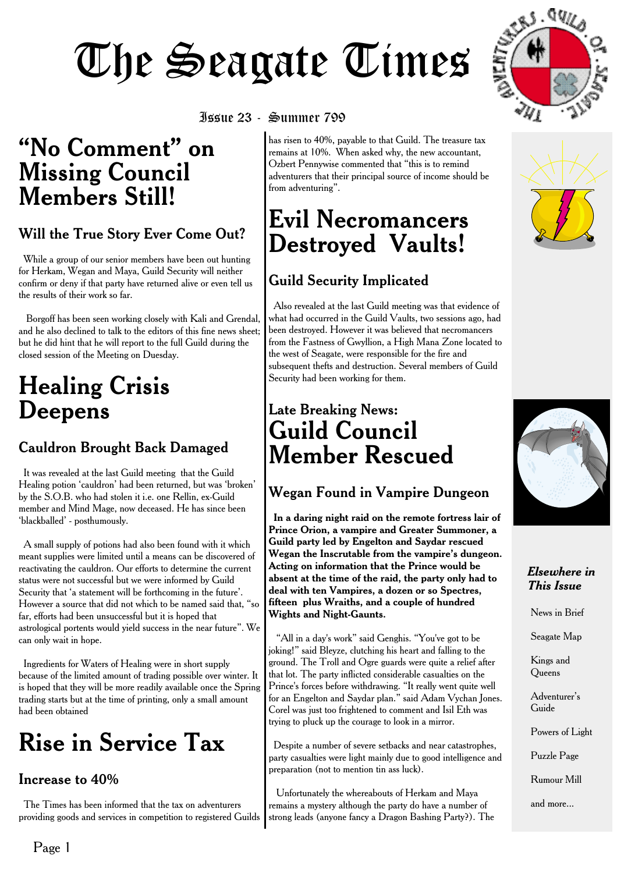### **"No Comment" on Missing Council Members Still!**

#### Will the True Story Ever Come Out?

While a group of our senior members have been out hunting for Herkam, Wegan and Maya, Guild Security will neither confirm or deny if that party have returned alive or even tell us the results of their work so far.

Borgoff has been seen working closely with Kali and Grendal, and he also declined to talk to the editors of this fine news sheet; but he did hint that he will report to the full Guild during the closed session of the Meeting on Duesday.

### **Healing Crisis Deepens**

#### Cauldron Brought Back Damaged

It was revealed at the last Guild meeting that the Guild Healing potion 'cauldron' had been returned, but was 'broken' by the S.O.B. who had stolen it i.e. one Rellin, ex-Guild member and Mind Mage, now deceased. He has since been 'blackballed' - posthumously.

A small supply of potions had also been found with it which meant supplies were limited until a means can be discovered of reactivating the cauldron. Our efforts to determine the current status were not successful but we were informed by Guild Security that 'a statement will be forthcoming in the future'. However a source that did not which to be named said that, "so far, efforts had been unsuccessful but it is hoped that astrological portents would yield success in the near future". We can only wait in hope.

Ingredients for Waters of Healing were in short supply because of the limited amount of trading possible over winter. It is hoped that they will be more readily available once the Spring trading starts but at the time of printing, only a small amount had been obtained

### **Rise in Service Tax**

#### Increase to 40%

The Times has been informed that the tax on adventurers providing goods and services in competition to registered Guilds

has risen to 40%, payable to that Guild. The treasure tax remains at 10%. When asked why, the new accountant, Ozbert Pennywise commented that "this is to remind adventurers that their principal source of income should be from adventuring".

### **Evil Necromancers Destroyed Vaults!**

### Guild Security Implicated

Also revealed at the last Guild meeting was that evidence of what had occurred in the Guild Vaults, two sessions ago, had been destroyed. However it was believed that necromancers from the Fastness of Gwyllion, a High Mana Zone located to the west of Seagate, were responsible for the fire and subsequent thefts and destruction. Several members of Guild Security had been working for them.

### **Late Breaking News: Guild Council Member Rescued**

#### Wegan Found in Vampire Dungeon

**In a daring night raid on the remote fortress lair of Prince Orion, a vampire and Greater Summoner, a Guild party led by Engelton and Saydar rescued Wegan the Inscrutable from the vampire's dungeon. Acting on information that the Prince would be absent at the time of the raid, the party only had to deal with ten Vampires, a dozen or so Spectres, fifteen plus Wraiths, and a couple of hundred Wights and Night-Gaunts.**

"All in a day's work" said Genghis. "You've got to be joking!" said Bleyze, clutching his heart and falling to the ground. The Troll and Ogre guards were quite a relief after that lot. The party inflicted considerable casualties on the Prince's forces before withdrawing. "It really went quite well for an Engelton and Saydar plan." said Adam Vychan Jones. Corel was just too frightened to comment and Isil Eth was trying to pluck up the courage to look in a mirror.

Despite a number of severe setbacks and near catastrophes, party casualties were light mainly due to good intelligence and preparation (not to mention tin ass luck).

Unfortunately the whereabouts of Herkam and Maya remains a mystery although the party do have a number of strong leads (anyone fancy a Dragon Bashing Party?). The







#### *Elsewhere in This Issue*

News in Brief

Seagate Map

Kings and **Oueens** 

Adventurer's Guide

Powers of Light

Puzzle Page

Rumour Mill

and more...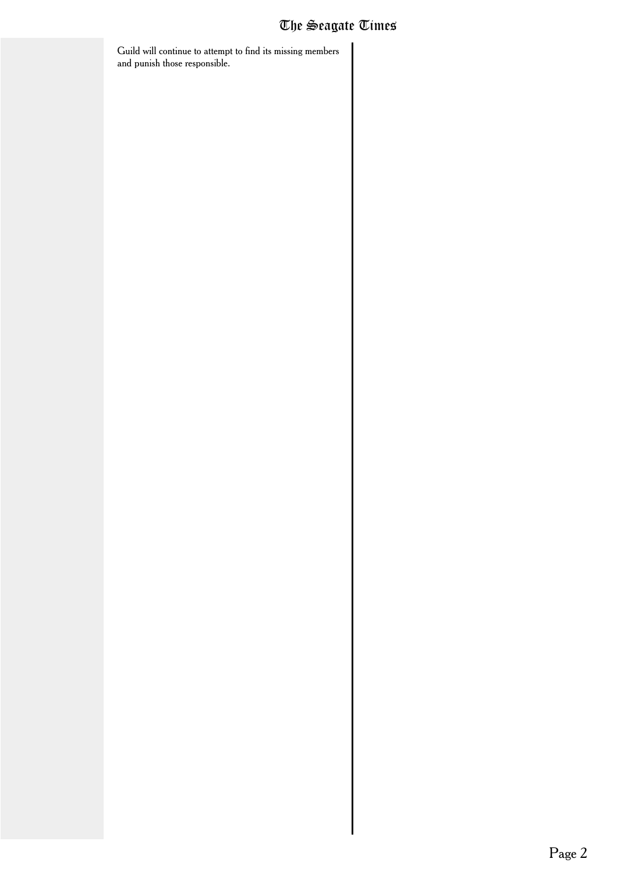Guild will continue to attempt to find its missing members and punish those responsible.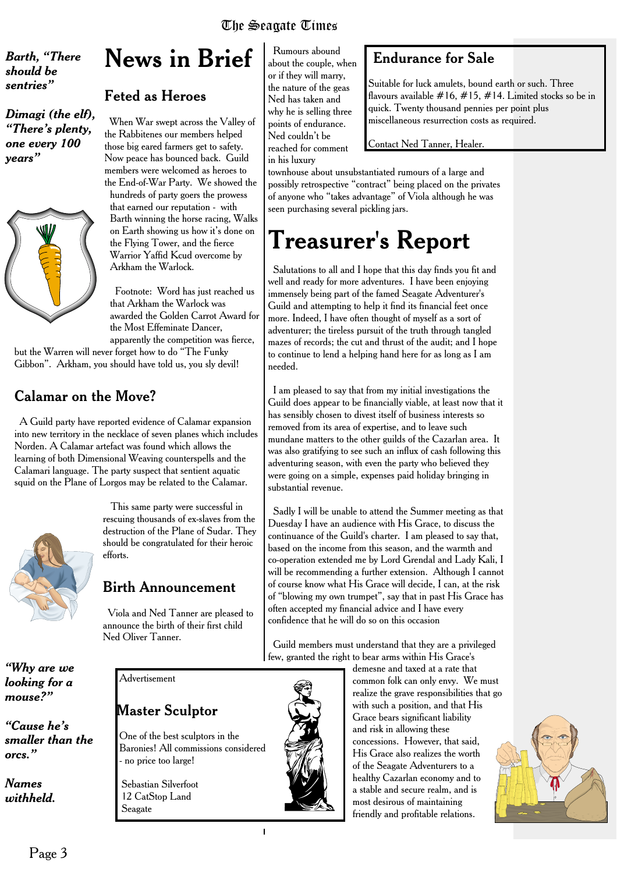#### *Barth, "There should be sentries"*

*Dimagi (the elf), "There's plenty, one every 100 years"*



### **News in Brief**

#### Feted as Heroes

When War swept across the Valley of the Rabbitenes our members helped those big eared farmers get to safety. Now peace has bounced back. Guild members were welcomed as heroes to the End-of-War Party. We showed the hundreds of party goers the prowess that earned our reputation - with Barth winning the horse racing, Walks on Earth showing us how it's done on the Flying Tower, and the fierce Warrior Yaffid Kcud overcome by Arkham the Warlock.

Footnote: Word has just reached us that Arkham the Warlock was awarded the Golden Carrot Award for the Most Effeminate Dancer, apparently the competition was fierce,

but the Warren will never forget how to do "The Funky Gibbon". Arkham, you should have told us, you sly devil!

#### Calamar on the Move?

A Guild party have reported evidence of Calamar expansion into new territory in the necklace of seven planes which includes Norden. A Calamar artefact was found which allows the learning of both Dimensional Weaving counterspells and the Calamari language. The party suspect that sentient aquatic squid on the Plane of Lorgos may be related to the Calamar.



*"Why are we looking for a mouse?"*

*"Cause he's smaller than the*

*orcs."*

*Names withheld.*

This same party were successful in rescuing thousands of ex-slaves from the destruction of the Plane of Sudar. They should be congratulated for their heroic efforts.

#### Birth Announcement

Viola and Ned Tanner are pleased to announce the birth of their first child Ned Oliver Tanner.

Advertisement

#### Master Sculptor

One of the best sculptors in the Baronies! All commissions considered - no price too large!

Sebastian Silverfoot 12 CatStop Land Seagate

Rumours abound about the couple, when or if they will marry, the nature of the geas Ned has taken and why he is selling three points of endurance. Ned couldn't be reached for comment in his luxury

#### Endurance for Sale

Suitable for luck amulets, bound earth or such. Three flavours available  $#16, #15, #14$ . Limited stocks so be in quick. Twenty thousand pennies per point plus miscellaneous resurrection costs as required.

#### Contact Ned Tanner, Healer.

townhouse about unsubstantiated rumours of a large and possibly retrospective "contract" being placed on the privates of anyone who "takes advantage" of Viola although he was seen purchasing several pickling jars.

### **Treasurer's Report**

Salutations to all and I hope that this day finds you fit and well and ready for more adventures. I have been enjoying immensely being part of the famed Seagate Adventurer's Guild and attempting to help it find its financial feet once more. Indeed, I have often thought of myself as a sort of adventurer; the tireless pursuit of the truth through tangled mazes of records; the cut and thrust of the audit; and I hope to continue to lend a helping hand here for as long as I am needed.

I am pleased to say that from my initial investigations the Guild does appear to be financially viable, at least now that it has sensibly chosen to divest itself of business interests so removed from its area of expertise, and to leave such mundane matters to the other guilds of the Cazarlan area. It was also gratifying to see such an influx of cash following this adventuring season, with even the party who believed they were going on a simple, expenses paid holiday bringing in substantial revenue.

Sadly I will be unable to attend the Summer meeting as that Duesday I have an audience with His Grace, to discuss the continuance of the Guild's charter. I am pleased to say that, based on the income from this season, and the warmth and co-operation extended me by Lord Grendal and Lady Kali, I will be recommending a further extension. Although I cannot of course know what His Grace will decide, I can, at the risk of "blowing my own trumpet", say that in past His Grace has often accepted my financial advice and I have every confidence that he will do so on this occasion

Guild members must understand that they are a privileged few, granted the right to bear arms within His Grace's



 $\mathbf{I}$ 

demesne and taxed at a rate that common folk can only envy. We must realize the grave responsibilities that go with such a position, and that His Grace bears significant liability and risk in allowing these concessions. However, that said, His Grace also realizes the worth of the Seagate Adventurers to a healthy Cazarlan economy and to a stable and secure realm, and is most desirous of maintaining friendly and profitable relations.

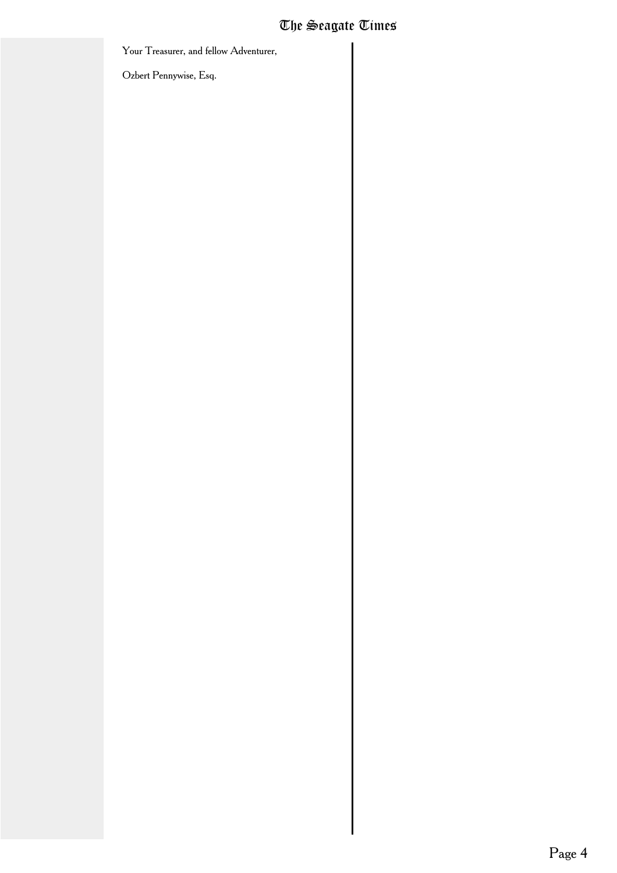Your Treasurer, and fellow Adventurer,

Ozbert Pennywise, Esq.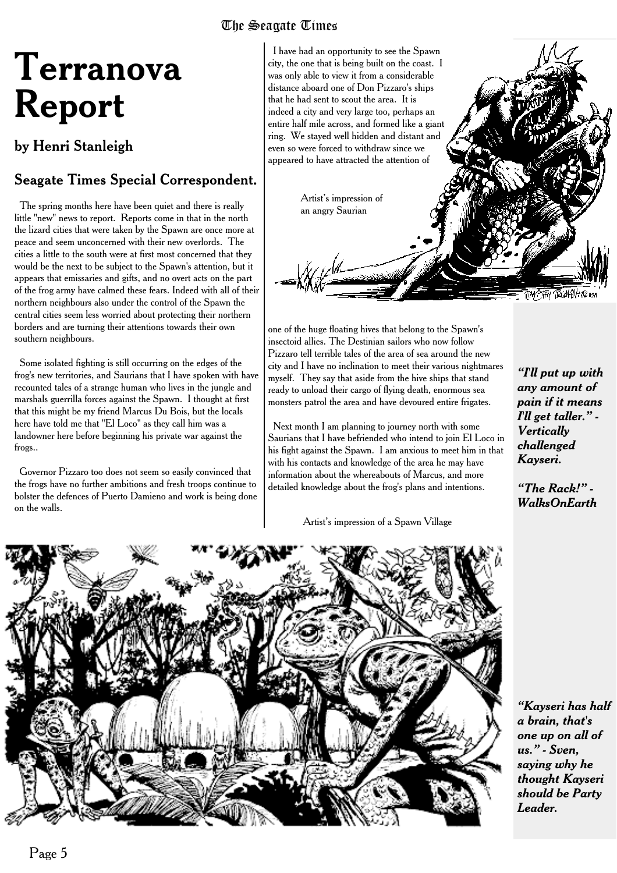# **Terranova Report**

#### by Henri Stanleigh

#### Seagate Times Special Correspondent.

The spring months here have been quiet and there is really little "new" news to report. Reports come in that in the north the lizard cities that were taken by the Spawn are once more at peace and seem unconcerned with their new overlords. The cities a little to the south were at first most concerned that they would be the next to be subject to the Spawn's attention, but it appears that emissaries and gifts, and no overt acts on the part of the frog army have calmed these fears. Indeed with all of their northern neighbours also under the control of the Spawn the central cities seem less worried about protecting their northern borders and are turning their attentions towards their own southern neighbours.

Some isolated fighting is still occurring on the edges of the frog's new territories, and Saurians that I have spoken with have recounted tales of a strange human who lives in the jungle and marshals guerrilla forces against the Spawn. I thought at first that this might be my friend Marcus Du Bois, but the locals here have told me that "El Loco" as they call him was a landowner here before beginning his private war against the frogs..

Governor Pizzaro too does not seem so easily convinced that the frogs have no further ambitions and fresh troops continue to bolster the defences of Puerto Damieno and work is being done on the walls.



one of the huge floating hives that belong to the Spawn's insectoid allies. The Destinian sailors who now follow Pizzaro tell terrible tales of the area of sea around the new city and I have no inclination to meet their various nightmares myself. They say that aside from the hive ships that stand ready to unload their cargo of flying death, enormous sea monsters patrol the area and have devoured entire frigates.

Next month I am planning to journey north with some Saurians that I have befriended who intend to join El Loco in his fight against the Spawn. I am anxious to meet him in that with his contacts and knowledge of the area he may have information about the whereabouts of Marcus, and more detailed knowledge about the frog's plans and intentions.

Artist's impression of a Spawn Village

*"I'll put up with any amount of pain if it means I'll get taller." - Vertically challenged Kayseri.*

*"The Rack!" - WalksOnEarth*



*"Kayseri has half a brain, that's one up on all of us." - Sven, saying why he thought Kayseri should be Party Leader.*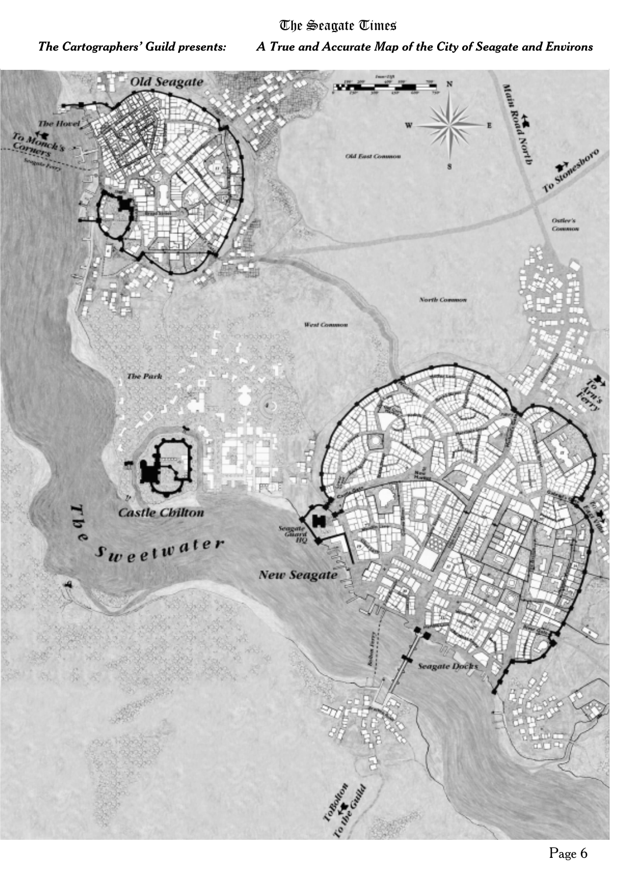*The Cartographers' Guild presents: A True and Accurate Map of the City of Seagate and Environs*

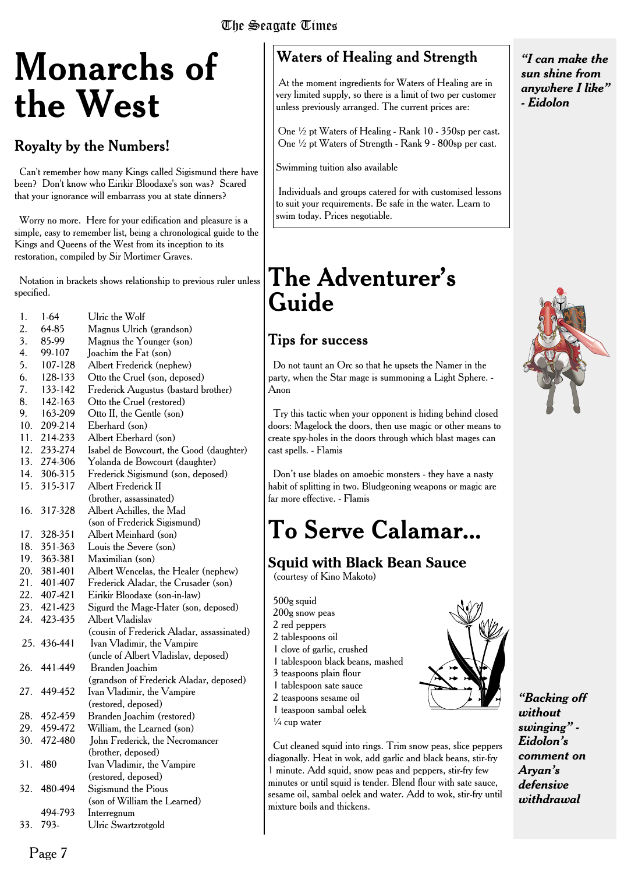# **Monarchs of the West**

#### Royalty by the Numbers!

Can't remember how many Kings called Sigismund there have been? Don't know who Eirikir Bloodaxe's son was? Scared that your ignorance will embarrass you at state dinners?

Worry no more. Here for your edification and pleasure is a simple, easy to remember list, being a chronological guide to the Kings and Queens of the West from its inception to its restoration, compiled by Sir Mortimer Graves.

Notation in brackets shows relationship to previous ruler unless specified.

| 1.  | $1-64$      | Ulric the Wolf                             |
|-----|-------------|--------------------------------------------|
| 2.  | 64-85       | Magnus Ulrich (grandson)                   |
| 3.  | 85-99       | Magnus the Younger (son)                   |
| 4.  | 99-107      | Joachim the Fat (son)                      |
| 5.  | 107-128     | Albert Frederick (nephew)                  |
| 6.  | 128-133     | Otto the Cruel (son, deposed)              |
| 7.  | 133-142     | Frederick Augustus (bastard brother)       |
| 8.  | 142-163     | Otto the Cruel (restored)                  |
| 9.  | 163-209     | Otto II, the Gentle (son)                  |
| 10. | 209-214     | Eberhard (son)                             |
| 11. | 214-233     | Albert Eberhard (son)                      |
| 12. | 233-274     | Isabel de Bowcourt, the Good (daughter)    |
| 13. | 274-306     | Yolanda de Bowcourt (daughter)             |
| 14. | 306-315     | Frederick Sigismund (son, deposed)         |
| 15. | 315-317     | Albert Frederick II                        |
|     |             | (brother, assassinated)                    |
| 16. | 317-328     | Albert Achilles, the Mad                   |
|     |             | (son of Frederick Sigismund)               |
| 17. | 328-351     | Albert Meinhard (son)                      |
| 18. | 351-363     | Louis the Severe (son)                     |
| 19. | 363-381     | Maximilian (son)                           |
| 20. | 381-401     | Albert Wencelas, the Healer (nephew)       |
| 21. | 401-407     | Frederick Aladar, the Crusader (son)       |
| 22. | 407-421     | Eirikir Bloodaxe (son-in-law)              |
| 23. | 421-423     | Sigurd the Mage-Hater (son, deposed)       |
| 24. | 423-435     | Albert Vladislav                           |
|     |             | (cousin of Frederick Aladar, assassinated) |
|     | 25. 436-441 | Ivan Vladimir, the Vampire                 |
|     |             | (uncle of Albert Vladislav, deposed)       |
| 26. | 441-449     | Branden Joachim                            |
|     |             | (grandson of Frederick Aladar, deposed)    |
| 27. | 449-452     | Ivan Vladimir, the Vampire                 |
|     |             | (restored, deposed)                        |
| 28. | 452-459     | Branden Joachim (restored)                 |
| 29. | 459-472     | William, the Learned (son)                 |
| 30. | 472-480     | John Frederick, the Necromancer            |
|     |             | (brother, deposed)                         |
| 31. | 480         | Ivan Vladimir, the Vampire                 |
|     |             | (restored, deposed)                        |
| 32. | 480-494     | Sigismund the Pious                        |
|     |             | (son of William the Learned)               |
|     | 494-793     | Interregnum                                |
| 33. | 793-        | Ulric Swartzrotgold                        |

#### Waters of Healing and Strength

At the moment ingredients for Waters of Healing are in very limited supply, so there is a limit of two per customer unless previously arranged. The current prices are:

One ½ pt Waters of Healing - Rank 10 - 350sp per cast. One ½ pt Waters of Strength - Rank 9 - 800sp per cast.

Swimming tuition also available

Individuals and groups catered for with customised lessons to suit your requirements. Be safe in the water. Learn to swim today. Prices negotiable.

### **The Adventurer's Guide**

#### Tips for success

Do not taunt an Orc so that he upsets the Namer in the party, when the Star mage is summoning a Light Sphere. - Anon

Try this tactic when your opponent is hiding behind closed doors: Magelock the doors, then use magic or other means to create spy-holes in the doors through which blast mages can cast spells. - Flamis

Don't use blades on amoebic monsters - they have a nasty habit of splitting in two. Bludgeoning weapons or magic are far more effective. - Flamis

### **To Serve Calamar...**

**Squid with Black Bean Sauce** (courtesy of Kino Makoto)

500g squid 200g snow peas 2 red peppers 2 tablespoons oil 1 clove of garlic, crushed 1 tablespoon black beans, mashed 3 teaspoons plain flour 1 tablespoon sate sauce 2 teaspoons sesame oil 1 teaspoon sambal oelek  $\frac{1}{4}$  cup water



Cut cleaned squid into rings. Trim snow peas, slice peppers diagonally. Heat in wok, add garlic and black beans, stir-fry 1 minute. Add squid, snow peas and peppers, stir-fry few minutes or until squid is tender. Blend flour with sate sauce, sesame oil, sambal oelek and water. Add to wok, stir-fry until mixture boils and thickens.

*"I can make the sun shine from anywhere I like" - Eidolon*



*"Backing off without swinging" - Eidolon's comment on Aryan's defensive withdrawal*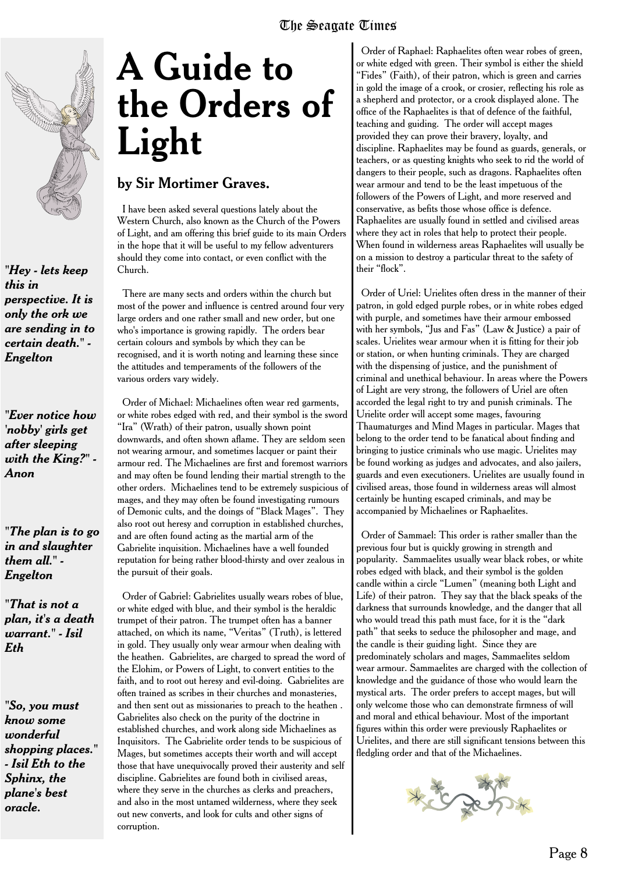

*"Hey - lets keep this in perspective. It is only the ork we are sending in to certain death." - Engelton*

*"Ever notice how 'nobby' girls get after sleeping with the King?" - Anon*

*"The plan is to go in and slaughter them all." - Engelton*

*"That is not a plan, it's a death warrant." - Isil Eth*

*"So, you must know some wonderful shopping places." - Isil Eth to the Sphinx, the plane's best oracle.*

# **A Guide to the Orders of Light**

#### by Sir Mortimer Graves.

I have been asked several questions lately about the Western Church, also known as the Church of the Powers of Light, and am offering this brief guide to its main Orders in the hope that it will be useful to my fellow adventurers should they come into contact, or even conflict with the Church.

There are many sects and orders within the church but most of the power and influence is centred around four very large orders and one rather small and new order, but one who's importance is growing rapidly. The orders bear certain colours and symbols by which they can be recognised, and it is worth noting and learning these since the attitudes and temperaments of the followers of the various orders vary widely.

Order of Michael: Michaelines often wear red garments, or white robes edged with red, and their symbol is the sword "Ira" (Wrath) of their patron, usually shown point downwards, and often shown aflame. They are seldom seen not wearing armour, and sometimes lacquer or paint their armour red. The Michaelines are first and foremost warriors and may often be found lending their martial strength to the other orders. Michaelines tend to be extremely suspicious of mages, and they may often be found investigating rumours of Demonic cults, and the doings of "Black Mages". They also root out heresy and corruption in established churches, and are often found acting as the martial arm of the Gabrielite inquisition. Michaelines have a well founded reputation for being rather blood-thirsty and over zealous in the pursuit of their goals.

Order of Gabriel: Gabrielites usually wears robes of blue, or white edged with blue, and their symbol is the heraldic trumpet of their patron. The trumpet often has a banner attached, on which its name, "Veritas" (Truth), is lettered in gold. They usually only wear armour when dealing with the heathen. Gabrielites, are charged to spread the word of the Elohim, or Powers of Light, to convert entities to the faith, and to root out heresy and evil-doing. Gabrielites are often trained as scribes in their churches and monasteries, and then sent out as missionaries to preach to the heathen . Gabrielites also check on the purity of the doctrine in established churches, and work along side Michaelines as Inquisitors. The Gabrielite order tends to be suspicious of Mages, but sometimes accepts their worth and will accept those that have unequivocally proved their austerity and self discipline. Gabrielites are found both in civilised areas, where they serve in the churches as clerks and preachers, and also in the most untamed wilderness, where they seek out new converts, and look for cults and other signs of corruption.

Order of Raphael: Raphaelites often wear robes of green, or white edged with green. Their symbol is either the shield "Fides" (Faith), of their patron, which is green and carries in gold the image of a crook, or crosier, reflecting his role as a shepherd and protector, or a crook displayed alone. The office of the Raphaelites is that of defence of the faithful, teaching and guiding. The order will accept mages provided they can prove their bravery, loyalty, and discipline. Raphaelites may be found as guards, generals, or teachers, or as questing knights who seek to rid the world of dangers to their people, such as dragons. Raphaelites often wear armour and tend to be the least impetuous of the followers of the Powers of Light, and more reserved and conservative, as befits those whose office is defence. Raphaelites are usually found in settled and civilised areas where they act in roles that help to protect their people. When found in wilderness areas Raphaelites will usually be on a mission to destroy a particular threat to the safety of their "flock".

Order of Uriel: Urielites often dress in the manner of their patron, in gold edged purple robes, or in white robes edged with purple, and sometimes have their armour embossed with her symbols, "Jus and Fas" (Law & Justice) a pair of scales. Urielites wear armour when it is fitting for their job or station, or when hunting criminals. They are charged with the dispensing of justice, and the punishment of criminal and unethical behaviour. In areas where the Powers of Light are very strong, the followers of Uriel are often accorded the legal right to try and punish criminals. The Urielite order will accept some mages, favouring Thaumaturges and Mind Mages in particular. Mages that belong to the order tend to be fanatical about finding and bringing to justice criminals who use magic. Urielites may be found working as judges and advocates, and also jailers, guards and even executioners. Urielites are usually found in civilised areas, those found in wilderness areas will almost certainly be hunting escaped criminals, and may be accompanied by Michaelines or Raphaelites.

Order of Sammael: This order is rather smaller than the previous four but is quickly growing in strength and popularity. Sammaelites usually wear black robes, or white robes edged with black, and their symbol is the golden candle within a circle "Lumen" (meaning both Light and Life) of their patron. They say that the black speaks of the darkness that surrounds knowledge, and the danger that all who would tread this path must face, for it is the "dark path" that seeks to seduce the philosopher and mage, and the candle is their guiding light. Since they are predominately scholars and mages, Sammaelites seldom wear armour. Sammaelites are charged with the collection of knowledge and the guidance of those who would learn the mystical arts. The order prefers to accept mages, but will only welcome those who can demonstrate firmness of will and moral and ethical behaviour. Most of the important figures within this order were previously Raphaelites or Urielites, and there are still significant tensions between this fledgling order and that of the Michaelines.

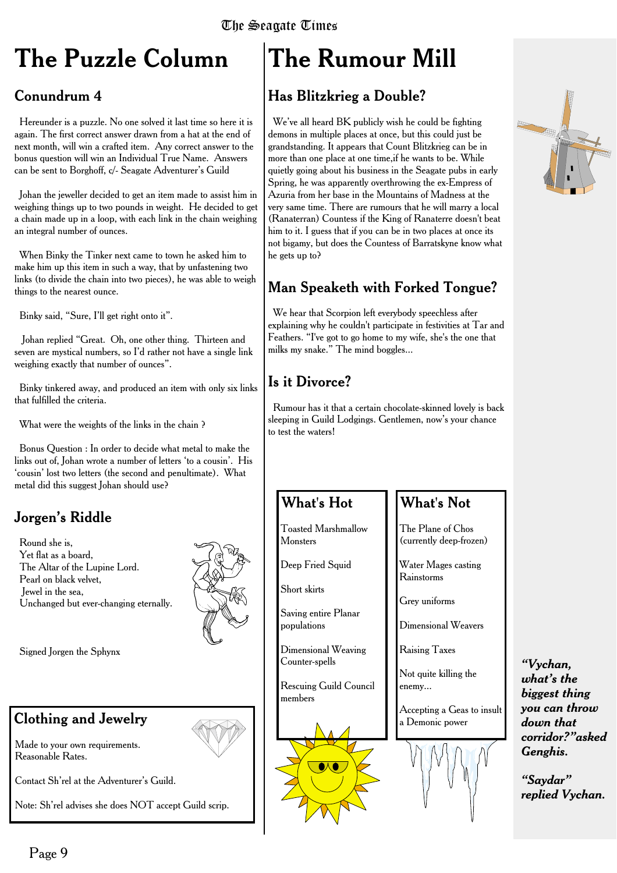## **The Puzzle Column**

#### Conundrum 4

Hereunder is a puzzle. No one solved it last time so here it is again. The first correct answer drawn from a hat at the end of next month, will win a crafted item. Any correct answer to the bonus question will win an Individual True Name. Answers can be sent to Borghoff, c/- Seagate Adventurer's Guild

Johan the jeweller decided to get an item made to assist him in weighing things up to two pounds in weight. He decided to get a chain made up in a loop, with each link in the chain weighing an integral number of ounces.

When Binky the Tinker next came to town he asked him to make him up this item in such a way, that by unfastening two links (to divide the chain into two pieces), he was able to weigh things to the nearest ounce.

Binky said, "Sure, I'll get right onto it".

Johan replied "Great. Oh, one other thing. Thirteen and seven are mystical numbers, so I'd rather not have a single link weighing exactly that number of ounces".

Binky tinkered away, and produced an item with only six links that fulfilled the criteria.

What were the weights of the links in the chain ?

Bonus Question : In order to decide what metal to make the links out of, Johan wrote a number of letters 'to a cousin'. His 'cousin' lost two letters (the second and penultimate). What metal did this suggest Johan should use?

#### Jorgen's Riddle

Round she is, Yet flat as a board, The Altar of the Lupine Lord. Pearl on black velvet, Jewel in the sea, Unchanged but ever-changing eternally.



Signed Jorgen the Sphynx

#### Clothing and Jewelry

Made to your own requirements. Reasonable Rates.

Contact Sh'rel at the Adventurer's Guild.

Note: Sh'rel advises she does NOT accept Guild scrip.

# **The Rumour Mill**

#### Has Blitzkrieg a Double?

We've all heard BK publicly wish he could be fighting demons in multiple places at once, but this could just be grandstanding. It appears that Count Blitzkrieg can be in more than one place at one time,if he wants to be. While quietly going about his business in the Seagate pubs in early Spring, he was apparently overthrowing the ex-Empress of Azuria from her base in the Mountains of Madness at the very same time. There are rumours that he will marry a local (Ranaterran) Countess if the King of Ranaterre doesn't beat him to it. I guess that if you can be in two places at once its not bigamy, but does the Countess of Barratskyne know what he gets up to?

#### Man Speaketh with Forked Tongue?

We hear that Scorpion left everybody speechless after explaining why he couldn't participate in festivities at Tar and Feathers. "I've got to go home to my wife, she's the one that milks my snake." The mind boggles...

#### Is it Divorce?

Rumour has it that a certain chocolate-skinned lovely is back sleeping in Guild Lodgings. Gentlemen, now's your chance to test the waters!

#### What's Hot

Toasted Marshmallow **Monsters** 

Deep Fried Squid

Short skirts

Saving entire Planar populations

Dimensional Weaving Counter-spells

Rescuing Guild Council members

#### What's Not

The Plane of Chos (currently deep-frozen)

Water Mages casting Rainstorms

Grey uniforms

Dimensional Weavers

Raising Taxes

Not quite killing the enemy...

Accepting a Geas to insult a Demonic power



*"Vychan, what's the biggest thing you can throw down that corridor?"asked Genghis.*

*"Saydar" replied Vychan.*